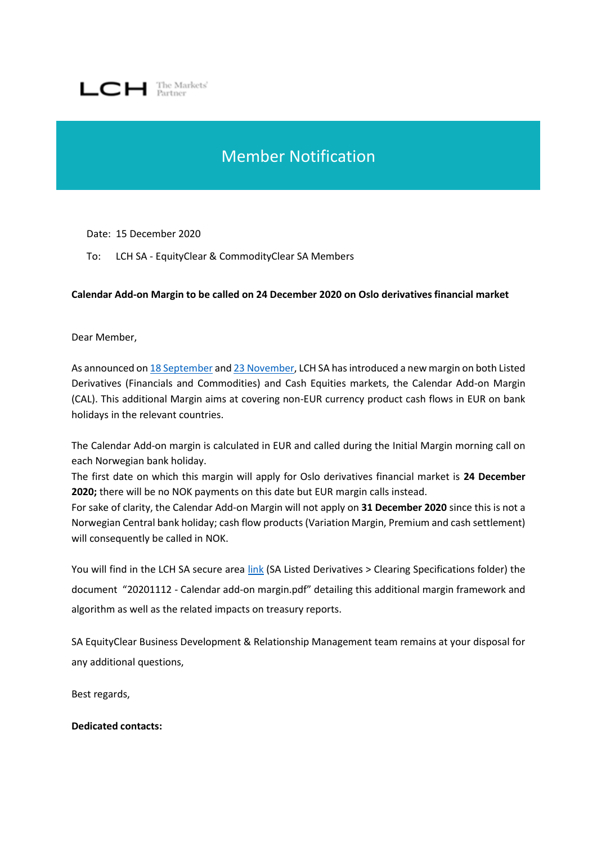

## Member Notification

Date: 15 December 2020

To: LCH SA - EquityClear & CommodityClear SA Members

## **Calendar Add-on Margin to be called on 24 December 2020 on Oslo derivatives financial market**

Dear Member,

As announced o[n 18 September](https://www.lch.com/system/files/media_root/Bulletin%20LCH%20SA%20-%20Introduction%20of%20Calendar%20Add-on%20Margin.pdf) an[d 23 November,](https://www.lch.com/system/files/media_root/LCH%20SA%20Bulletin%20-%20Calendar%20Add-on%20Margin%20–%20implementation%20effective%20from%20Oslo%20derivative%20migration.pdf) LCH SA has introduced a new margin on both Listed Derivatives (Financials and Commodities) and Cash Equities markets, the Calendar Add-on Margin (CAL). This additional Margin aims at covering non-EUR currency product cash flows in EUR on bank holidays in the relevant countries.

The Calendar Add-on margin is calculated in EUR and called during the Initial Margin morning call on each Norwegian bank holiday.

The first date on which this margin will apply for Oslo derivatives financial market is **24 December 2020;** there will be no NOK payments on this date but EUR margin calls instead.

For sake of clarity, the Calendar Add-on Margin will not apply on **31 December 2020** since this is not a Norwegian Central bank holiday; cash flow products (Variation Margin, Premium and cash settlement) will consequently be called in NOK.

You will find in the LCH SA secure area [link](https://secure-area.lchclearnet.com/secure_area/Default.asp) (SA Listed Derivatives > Clearing Specifications folder) the document "20201112 - Calendar add-on margin.pdf" detailing this additional margin framework and algorithm as well as the related impacts on treasury reports.

SA EquityClear Business Development & Relationship Management team remains at your disposal for any additional questions,

Best regards,

**Dedicated contacts:**